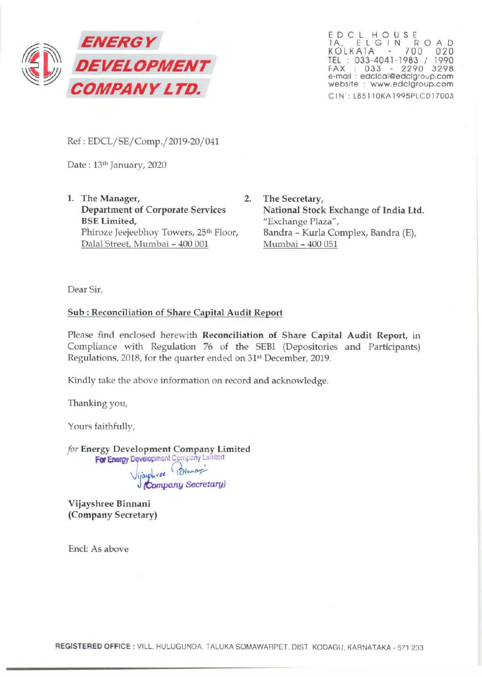

EDCL HOUSE 1A. ELGIN ROAD KOLKATA 700 020 TEL : 033-4041-1983 / 1990 FAX : 033 - 2290 3298 e-mail : edclcal@edclgroup.com website : www.edclgroup.com CIN': L85llOKAl995PLCOl7003

Ref: EDCL/SE/Comp./2019-20/041

Date: 13th January, 2020

1. The Manager, 2. Department of Corporate Services BSE Limited, Phiroze Jeejeebhoy Towers, 25<sup>th</sup> Floor, Dalal Street, Mumbai - 400 001

The Secretary, National Stock Exchange of India Ltd. "Exchange Plaza", Bandra- Kurla Complex, Bandra (E), Mumbai - 400 051

Dear Sir,

### Sub : Reconciliation of Share Capital Audit Report

Please find enclosed herewith Reconciliation of Share Capital Audit Report, in Compliance with Regulation 76 of the SEBI (Depositories and Participants) Regulations, 2018, for the quarter ended on 31<sup>st</sup> December, 2019.

Kindly take the above information on record and acknowledge.

Thanking you,

Yours faithfully,

*for* Energy Development Company Limited For Energy Development Company Lunited \)i ~.ftt. ~~~ J {tompany *Secretary)* 

Vijayshree Binnani (Company Secretary)

End: As above

REGISTERED OFFICE : Vlll. HULUGUNDA. TALUKA SOMAWARPET. DIST. KODAGU. KARNATAKA- 571 233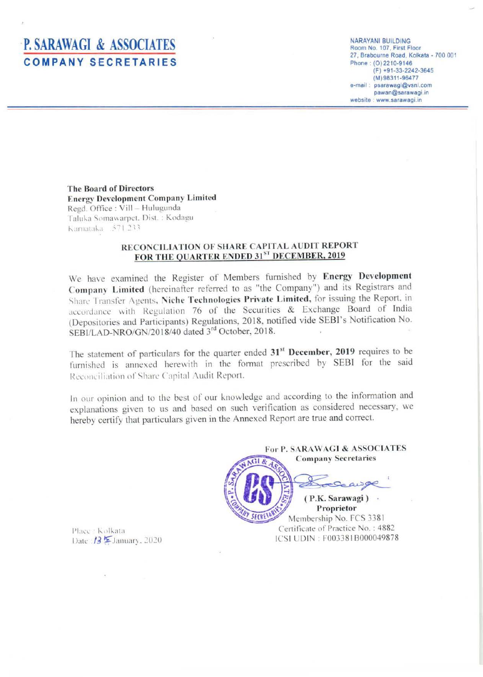# **P. SARAWAGI & ASSOCIATES COMPANY SECRETARIES**

**NARAYANI BUILDING** Room No. 107, First Floor 27, Brabourne Road, Kolkata - 700 001 Phone: (0) 2210-9146  $(F) +91-33-2242-3645$ (M) 98311-96477 e-mail: psarawagi@vsnl.com pawan@sarawagi.in website : www.sarawagi.in

**The Board of Directors Energy Development Company Limited** Regd. Office: Vill - Hulugunda Taluka Somawarpet, Dist.: Kodagu Karnataka 571.233

### RECONCILIATION OF SHARE CAPITAL AUDIT REPORT FOR THE QUARTER ENDED 31ST DECEMBER, 2019

We have examined the Register of Members furnished by Energy Development Company Limited (hereinafter referred to as "the Company") and its Registrars and Share Transfer Agents, Niche Technologies Private Limited, for issuing the Report, in accordance with Regulation 76 of the Securities & Exchange Board of India (Depositories and Participants) Regulations, 2018, notified vide SEBI's Notification No. SEBI/LAD-NRO/GN/2018/40 dated 3rd October, 2018.

The statement of particulars for the quarter ended 31<sup>st</sup> December, 2019 requires to be furnished is annexed herewith in the format prescribed by SEBI for the said Reconciliation of Share Capital Audit Report.

In our opinion and to the best of our knowledge and according to the information and explanations given to us and based on such verification as considered necessary, we hereby certify that particulars given in the Annexed Report are true and correct.

For P. SARAWAGI & ASSOCIATES **Company Secretaries** (P.K. Sarawagi) . Proprietor SECRI Membership No. FCS 3381

Certificate of Practice No.: 4882 ICSI UDIN: F003381B000049878

Place : Kolkata Date:  $13$   $\overline{2}$  January, 2020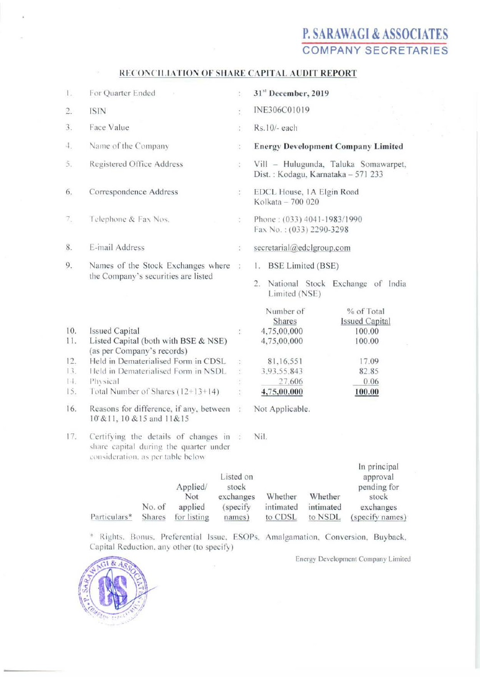## P. SARAWAGI & ASSOCIATES **COMPANY SECRETARIES**

### RECONCILIATION OF SHARE CAPITAL AUDIT REPORT

| 1.                                    | For Quarter Ended                                                                                                                                                                                                            | à.                                           | 31st December, 2019                                                                                                                                                                                   |
|---------------------------------------|------------------------------------------------------------------------------------------------------------------------------------------------------------------------------------------------------------------------------|----------------------------------------------|-------------------------------------------------------------------------------------------------------------------------------------------------------------------------------------------------------|
| 2.                                    | ISIN                                                                                                                                                                                                                         | ŧ                                            | INE306C01019                                                                                                                                                                                          |
| 3.                                    | Face Value                                                                                                                                                                                                                   | ł.                                           | Rs.10/- each                                                                                                                                                                                          |
| 4,                                    | Name of the Company                                                                                                                                                                                                          | ţ.                                           | <b>Energy Development Company Limited</b>                                                                                                                                                             |
| 5.                                    | Registered Office Address                                                                                                                                                                                                    | $\frac{1}{4}$                                | Vill - Hulugunda, Taluka Somawarpet,<br>Dist.: Kodagu, Karnataka - 571 233                                                                                                                            |
| 6.                                    | Correspondence Address                                                                                                                                                                                                       | 1.                                           | EDCL House, 1A Elgin Road<br>Kolkata - 700 020                                                                                                                                                        |
| 7.,                                   | Telephone & Fax Nos.                                                                                                                                                                                                         | ÷.                                           | Phone: (033) 4041-1983/1990<br>Fax No.: (033) 2290-3298                                                                                                                                               |
| 8.                                    | E-mail Address                                                                                                                                                                                                               | ÷,                                           | secretarial@edclgroup.com                                                                                                                                                                             |
| 9.                                    | Names of the Stock Exchanges where<br>the Company's securities are listed                                                                                                                                                    | $\frac{1}{2}$                                | 1. BSE Limited (BSE)<br>National Stock Exchange of India<br>2.<br>Limited (NSE)                                                                                                                       |
| 10.<br>11.<br>12.<br>13.<br>は。<br>15. | <b>Issued Capital</b><br>Listed Capital (both with BSE & NSE)<br>(as per Company's records)<br>Held in Dematerialised Form in CDSL<br>Held in Dematerialised Form in NSDL<br>Physical<br>Total Number of Shares $(12+13+14)$ | ÷.<br>÷.                                     | % of Total<br>Number of<br><b>Issued Capital</b><br>Shares<br>4,75,00,000<br>100.00<br>4,75,00,000<br>100.00<br>81,16,551<br>17.09<br>3,93.55,843<br>82.85<br>27,606<br>0.06<br>4,75,00,000<br>100.00 |
| 16.                                   | Reasons for difference, if any, between :<br>10 & 11, 10 & 15 and 11 & 15                                                                                                                                                    |                                              | Not Applicable.                                                                                                                                                                                       |
| 17.                                   | Certifying the details of changes in:<br>share capital during the quarter under<br>consideration, as per table below                                                                                                         |                                              | Nil.<br>In principal                                                                                                                                                                                  |
|                                       | Applied/<br>Not<br>No. of<br>applied                                                                                                                                                                                         | Listed on<br>stock<br>exchanges<br>(specify) | approval<br>pending for<br>Whether<br>Whether<br>stock<br>intimated<br>intimated<br>exchanges                                                                                                         |

\* Rights, Bonus, Preferential Issue, ESOPs, Amalgamation, Conversion, Buyback, Capital Reduction, any other (to specify)

names)

 $\bar{\alpha}$ 

to CDSL

Energy Development Company Limited

to NSDL (specify names)



Particulars\*

Shares for listing